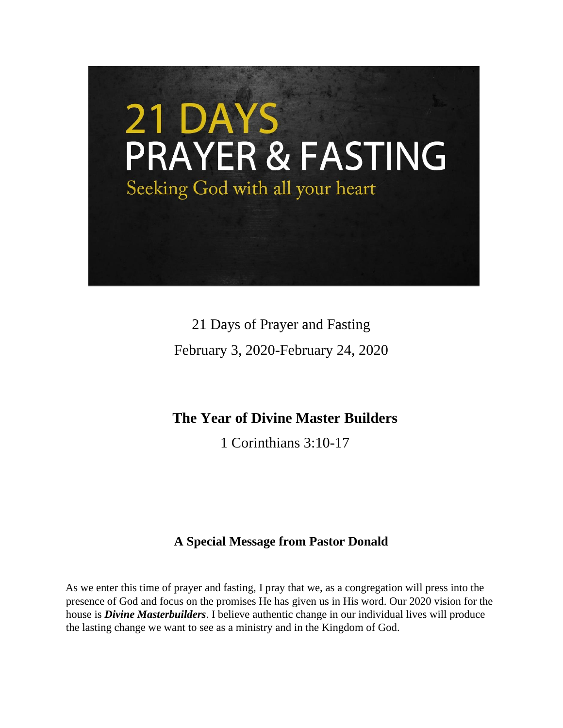

21 Days of Prayer and Fasting February 3, 2020-February 24, 2020

# **The Year of Divine Master Builders**

1 Corinthians 3:10-17

# **A Special Message from Pastor Donald**

As we enter this time of prayer and fasting, I pray that we, as a congregation will press into the presence of God and focus on the promises He has given us in His word. Our 2020 vision for the house is *Divine Masterbuilders*. I believe authentic change in our individual lives will produce the lasting change we want to see as a ministry and in the Kingdom of God.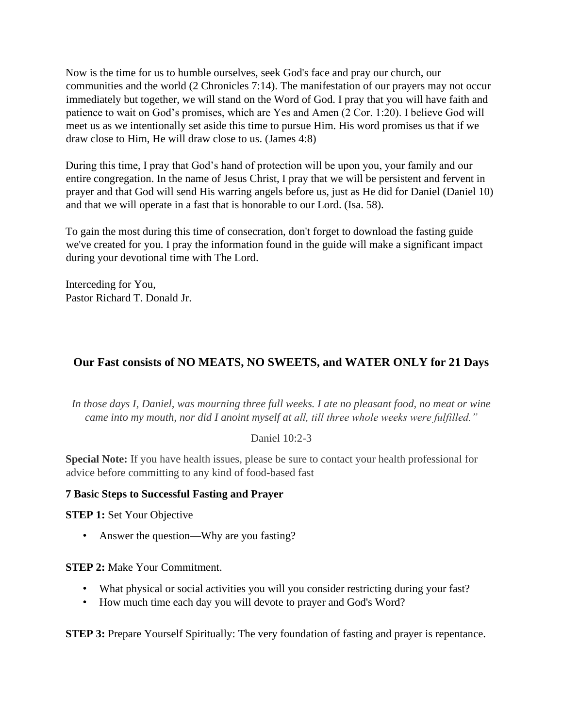Now is the time for us to humble ourselves, seek God's face and pray our church, our communities and the world (2 Chronicles 7:14). The manifestation of our prayers may not occur immediately but together, we will stand on the Word of God. I pray that you will have faith and patience to wait on God's promises, which are Yes and Amen (2 Cor. 1:20). I believe God will meet us as we intentionally set aside this time to pursue Him. His word promises us that if we draw close to Him, He will draw close to us. (James 4:8)

During this time, I pray that God's hand of protection will be upon you, your family and our entire congregation. In the name of Jesus Christ, I pray that we will be persistent and fervent in prayer and that God will send His warring angels before us, just as He did for Daniel (Daniel 10) and that we will operate in a fast that is honorable to our Lord. (Isa. 58).

To gain the most during this time of consecration, don't forget to download the fasting guide we've created for you. I pray the information found in the guide will make a significant impact during your devotional time with The Lord.

Interceding for You, Pastor Richard T. Donald Jr.

# **Our Fast consists of NO MEATS, NO SWEETS, and WATER ONLY for 21 Days**

*In those days I, Daniel, was mourning three full weeks. I ate no pleasant food, no meat or wine came into my mouth, nor did I anoint myself at all, till three whole weeks were fulfilled."*

# Daniel 10:2-3

**Special Note:** If you have health issues, please be sure to contact your health professional for advice before committing to any kind of food-based fast

# **7 Basic Steps to Successful Fasting and Prayer**

**STEP 1:** Set Your Objective

• Answer the question—Why are you fasting?

**STEP 2:** Make Your Commitment.

- What physical or social activities you will you consider restricting during your fast?
- How much time each day you will devote to prayer and God's Word?

**STEP 3:** Prepare Yourself Spiritually: The very foundation of fasting and prayer is repentance.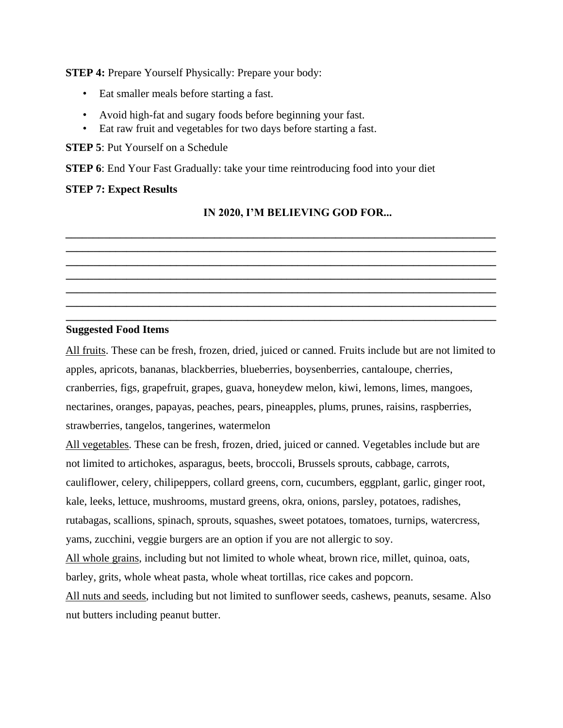**STEP 4:** Prepare Yourself Physically: Prepare your body:

- Eat smaller meals before starting a fast.
- Avoid high-fat and sugary foods before beginning your fast.
- Eat raw fruit and vegetables for two days before starting a fast.

**STEP 5**: Put Yourself on a Schedule

**STEP 6**: End Your Fast Gradually: take your time reintroducing food into your diet

#### **STEP 7: Expect Results**

#### **IN 2020, I'M BELIEVING GOD FOR...**

**\_\_\_\_\_\_\_\_\_\_\_\_\_\_\_\_\_\_\_\_\_\_\_\_\_\_\_\_\_\_\_\_\_\_\_\_\_\_\_\_\_\_\_\_\_\_\_\_\_\_\_\_\_\_\_\_\_\_\_\_\_\_\_\_\_\_\_\_\_\_\_\_\_\_\_\_\_\_ \_\_\_\_\_\_\_\_\_\_\_\_\_\_\_\_\_\_\_\_\_\_\_\_\_\_\_\_\_\_\_\_\_\_\_\_\_\_\_\_\_\_\_\_\_\_\_\_\_\_\_\_\_\_\_\_\_\_\_\_\_\_\_\_\_\_\_\_\_\_\_\_\_\_\_\_\_\_ \_\_\_\_\_\_\_\_\_\_\_\_\_\_\_\_\_\_\_\_\_\_\_\_\_\_\_\_\_\_\_\_\_\_\_\_\_\_\_\_\_\_\_\_\_\_\_\_\_\_\_\_\_\_\_\_\_\_\_\_\_\_\_\_\_\_\_\_\_\_\_\_\_\_\_\_\_\_ \_\_\_\_\_\_\_\_\_\_\_\_\_\_\_\_\_\_\_\_\_\_\_\_\_\_\_\_\_\_\_\_\_\_\_\_\_\_\_\_\_\_\_\_\_\_\_\_\_\_\_\_\_\_\_\_\_\_\_\_\_\_\_\_\_\_\_\_\_\_\_\_\_\_\_\_\_\_ \_\_\_\_\_\_\_\_\_\_\_\_\_\_\_\_\_\_\_\_\_\_\_\_\_\_\_\_\_\_\_\_\_\_\_\_\_\_\_\_\_\_\_\_\_\_\_\_\_\_\_\_\_\_\_\_\_\_\_\_\_\_\_\_\_\_\_\_\_\_\_\_\_\_\_\_\_\_ \_\_\_\_\_\_\_\_\_\_\_\_\_\_\_\_\_\_\_\_\_\_\_\_\_\_\_\_\_\_\_\_\_\_\_\_\_\_\_\_\_\_\_\_\_\_\_\_\_\_\_\_\_\_\_\_\_\_\_\_\_\_\_\_\_\_\_\_\_\_\_\_\_\_\_\_\_\_ \_\_\_\_\_\_\_\_\_\_\_\_\_\_\_\_\_\_\_\_\_\_\_\_\_\_\_\_\_\_\_\_\_\_\_\_\_\_\_\_\_\_\_\_\_\_\_\_\_\_\_\_\_\_\_\_\_\_\_\_\_\_\_\_\_\_\_\_\_\_\_\_\_\_\_\_\_\_** 

#### **Suggested Food Items**

All fruits. These can be fresh, frozen, dried, juiced or canned. Fruits include but are not limited to apples, apricots, bananas, blackberries, blueberries, boysenberries, cantaloupe, cherries, cranberries, figs, grapefruit, grapes, guava, honeydew melon, kiwi, lemons, limes, mangoes, nectarines, oranges, papayas, peaches, pears, pineapples, plums, prunes, raisins, raspberries, strawberries, tangelos, tangerines, watermelon

All vegetables. These can be fresh, frozen, dried, juiced or canned. Vegetables include but are not limited to artichokes, asparagus, beets, broccoli, Brussels sprouts, cabbage, carrots, cauliflower, celery, chilipeppers, collard greens, corn, cucumbers, eggplant, garlic, ginger root, kale, leeks, lettuce, mushrooms, mustard greens, okra, onions, parsley, potatoes, radishes, rutabagas, scallions, spinach, sprouts, squashes, sweet potatoes, tomatoes, turnips, watercress, yams, zucchini, veggie burgers are an option if you are not allergic to soy.

All whole grains, including but not limited to whole wheat, brown rice, millet, quinoa, oats, barley, grits, whole wheat pasta, whole wheat tortillas, rice cakes and popcorn.

All nuts and seeds, including but not limited to sunflower seeds, cashews, peanuts, sesame. Also nut butters including peanut butter.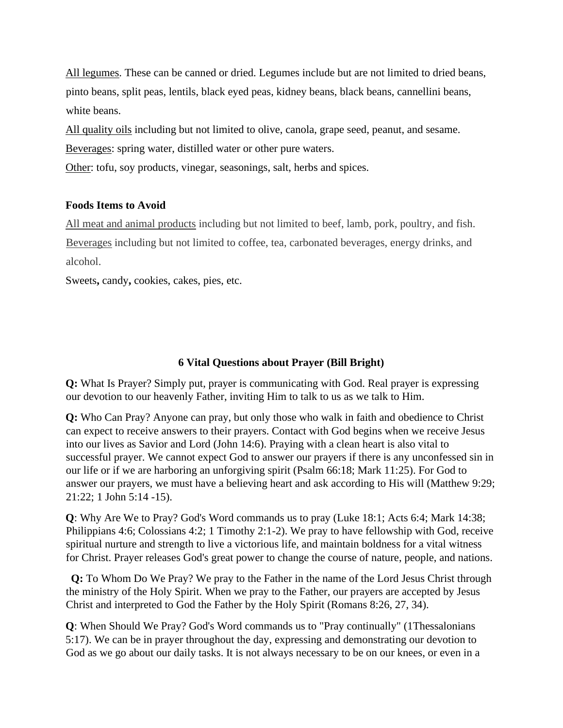All legumes. These can be canned or dried. Legumes include but are not limited to dried beans, pinto beans, split peas, lentils, black eyed peas, kidney beans, black beans, cannellini beans, white beans.

All quality oils including but not limited to olive, canola, grape seed, peanut, and sesame.

Beverages: spring water, distilled water or other pure waters.

Other: tofu, soy products, vinegar, seasonings, salt, herbs and spices.

# **Foods Items to Avoid**

All meat and animal products including but not limited to beef, lamb, pork, poultry, and fish. Beverages including but not limited to coffee, tea, carbonated beverages, energy drinks, and alcohol.

Sweets**,** candy**,** cookies, cakes, pies, etc.

# **6 Vital Questions about Prayer (Bill Bright)**

**Q:** What Is Prayer? Simply put, prayer is communicating with God. Real prayer is expressing our devotion to our heavenly Father, inviting Him to talk to us as we talk to Him.

**Q:** Who Can Pray? Anyone can pray, but only those who walk in faith and obedience to Christ can expect to receive answers to their prayers. Contact with God begins when we receive Jesus into our lives as Savior and Lord (John 14:6). Praying with a clean heart is also vital to successful prayer. We cannot expect God to answer our prayers if there is any unconfessed sin in our life or if we are harboring an unforgiving spirit (Psalm 66:18; Mark 11:25). For God to answer our prayers, we must have a believing heart and ask according to His will (Matthew 9:29; 21:22; 1 John 5:14 -15).

**Q**: Why Are We to Pray? God's Word commands us to pray (Luke 18:1; Acts 6:4; Mark 14:38; Philippians 4:6; Colossians 4:2; 1 Timothy 2:1-2). We pray to have fellowship with God, receive spiritual nurture and strength to live a victorious life, and maintain boldness for a vital witness for Christ. Prayer releases God's great power to change the course of nature, people, and nations.

 **Q:** To Whom Do We Pray? We pray to the Father in the name of the Lord Jesus Christ through the ministry of the Holy Spirit. When we pray to the Father, our prayers are accepted by Jesus Christ and interpreted to God the Father by the Holy Spirit (Romans 8:26, 27, 34).

**Q**: When Should We Pray? God's Word commands us to "Pray continually" (1Thessalonians 5:17). We can be in prayer throughout the day, expressing and demonstrating our devotion to God as we go about our daily tasks. It is not always necessary to be on our knees, or even in a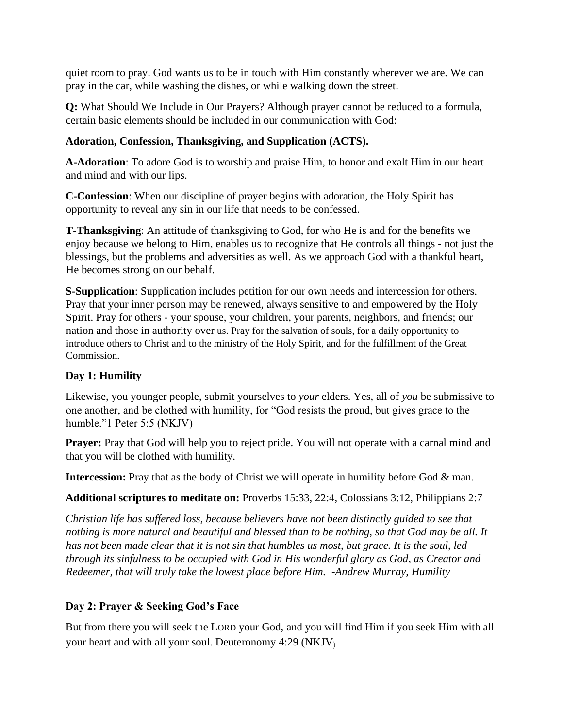quiet room to pray. God wants us to be in touch with Him constantly wherever we are. We can pray in the car, while washing the dishes, or while walking down the street.

**Q:** What Should We Include in Our Prayers? Although prayer cannot be reduced to a formula, certain basic elements should be included in our communication with God:

# **Adoration, Confession, Thanksgiving, and Supplication (ACTS).**

**A-Adoration**: To adore God is to worship and praise Him, to honor and exalt Him in our heart and mind and with our lips.

**C-Confession**: When our discipline of prayer begins with adoration, the Holy Spirit has opportunity to reveal any sin in our life that needs to be confessed.

**T-Thanksgiving**: An attitude of thanksgiving to God, for who He is and for the benefits we enjoy because we belong to Him, enables us to recognize that He controls all things - not just the blessings, but the problems and adversities as well. As we approach God with a thankful heart, He becomes strong on our behalf.

**S-Supplication**: Supplication includes petition for our own needs and intercession for others. Pray that your inner person may be renewed, always sensitive to and empowered by the Holy Spirit. Pray for others - your spouse, your children, your parents, neighbors, and friends; our nation and those in authority over us. Pray for the salvation of souls, for a daily opportunity to introduce others to Christ and to the ministry of the Holy Spirit, and for the fulfillment of the Great Commission.

# **Day 1: Humility**

Likewise, you younger people, submit yourselves to *your* elders. Yes, all of *you* be submissive to one another, and be clothed with humility, for "God resists the proud, but gives grace to the humble."1 Peter 5:5 (NKJV)

**Prayer:** Pray that God will help you to reject pride. You will not operate with a carnal mind and that you will be clothed with humility.

**Intercession:** Pray that as the body of Christ we will operate in humility before God & man.

**Additional scriptures to meditate on:** Proverbs 15:33, 22:4, Colossians 3:12, Philippians 2:7

*Christian life has suffered loss, because believers have not been distinctly guided to see that nothing is more natural and beautiful and blessed than to be nothing, so that God may be all. It has not been made clear that it is not sin that humbles us most, but grace. It is the soul, led through its sinfulness to be occupied with God in His wonderful glory as God, as Creator and Redeemer, that will truly take the lowest place before Him. -Andrew Murray, Humility* 

# **Day 2: Prayer & Seeking God's Face**

But from there you will seek the LORD your God, and you will find Him if you seek Him with all your heart and with all your soul. Deuteronomy 4:29 (NKJV)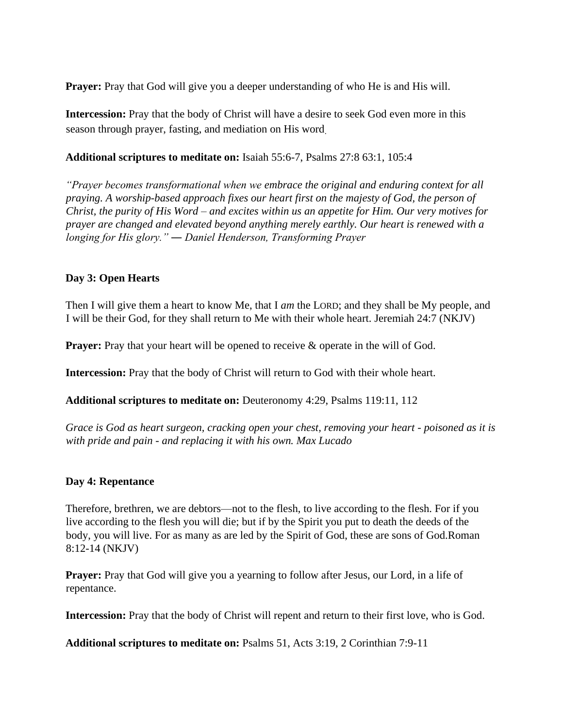**Prayer:** Pray that God will give you a deeper understanding of who He is and His will.

**Intercession:** Pray that the body of Christ will have a desire to seek God even more in this season through prayer, fasting, and mediation on His word.

#### **Additional scriptures to meditate on:** Isaiah 55:6-7, Psalms 27:8 63:1, 105:4

*"Prayer becomes transformational when we embrace the original and enduring context for all praying. A worship-based approach fixes our heart first on the majesty of God, the person of Christ, the purity of His Word – and excites within us an appetite for Him. Our very motives for prayer are changed and elevated beyond anything merely earthly. Our heart is renewed with a longing for His glory." ― Daniel Henderson, Transforming Prayer*

#### **Day 3: Open Hearts**

Then I will give them a heart to know Me, that I *am* the LORD; and they shall be My people, and I will be their God, for they shall return to Me with their whole heart. Jeremiah 24:7 (NKJV)

**Prayer:** Pray that your heart will be opened to receive & operate in the will of God.

**Intercession:** Pray that the body of Christ will return to God with their whole heart.

**Additional scriptures to meditate on:** Deuteronomy 4:29, Psalms 119:11, 112

*Grace is God as heart surgeon, cracking open your chest, removing your heart - poisoned as it is with pride and pain - and replacing it with his own. Max Lucado* 

# **Day 4: Repentance**

Therefore, brethren, we are debtors—not to the flesh, to live according to the flesh. For if you live according to the flesh you will die; but if by the Spirit you put to death the deeds of the body, you will live. For as many as are led by the Spirit of God, these are sons of God.Roman 8:12-14 (NKJV)

**Prayer:** Pray that God will give you a yearning to follow after Jesus, our Lord, in a life of repentance.

**Intercession:** Pray that the body of Christ will repent and return to their first love, who is God.

**Additional scriptures to meditate on:** Psalms 51, Acts 3:19, 2 Corinthian 7:9-11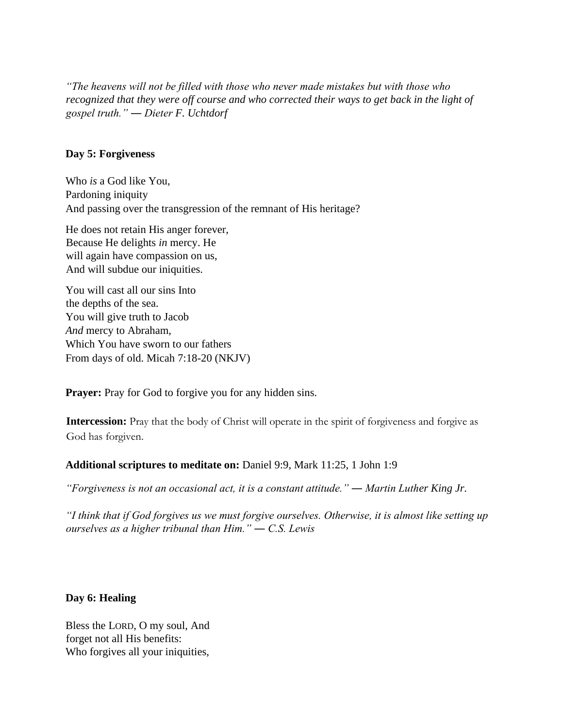*"The heavens will not be filled with those who never made mistakes but with those who recognized that they were off course and who corrected their ways to get back in the light of gospel truth." ― Dieter F. Uchtdorf*

#### **Day 5: Forgiveness**

Who *is* a God like You, Pardoning iniquity And passing over the transgression of the remnant of His heritage?

He does not retain His anger forever, Because He delights *in* mercy. He will again have compassion on us, And will subdue our iniquities.

You will cast all our sins Into the depths of the sea. You will give truth to Jacob *And* mercy to Abraham, Which You have sworn to our fathers From days of old. Micah 7:18-20 (NKJV)

**Prayer:** Pray for God to forgive you for any hidden sins.

**Intercession:** Pray that the body of Christ will operate in the spirit of forgiveness and forgive as God has forgiven.

#### **Additional scriptures to meditate on:** Daniel 9:9, Mark 11:25, 1 John 1:9

*"Forgiveness is not an occasional act, it is a constant attitude." ― Martin Luther King Jr.* 

*"I think that if God forgives us we must forgive ourselves. Otherwise, it is almost like setting up ourselves as a higher tribunal than Him." ― C.S. Lewis* 

#### **Day 6: Healing**

Bless the LORD, O my soul, And forget not all His benefits: Who forgives all your iniquities,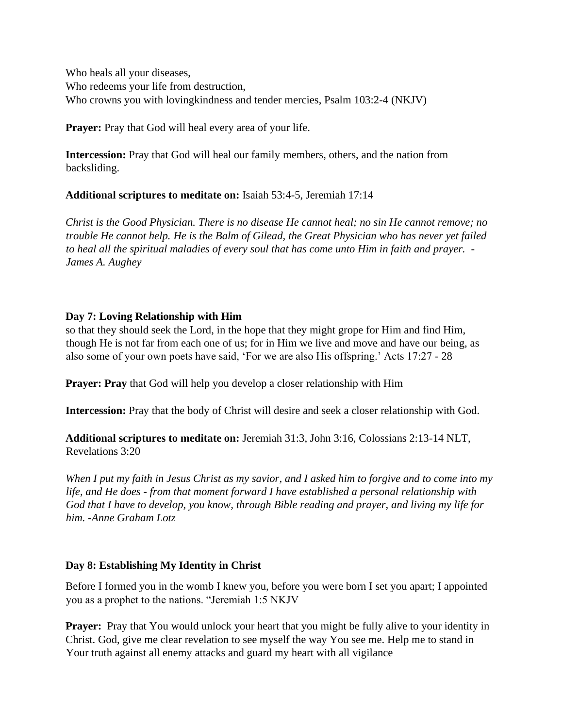Who heals all your diseases, Who redeems your life from destruction, Who crowns you with lovingkindness and tender mercies, Psalm 103:2-4 (NKJV)

**Prayer:** Pray that God will heal every area of your life.

**Intercession:** Pray that God will heal our family members, others, and the nation from backsliding.

**Additional scriptures to meditate on:** Isaiah 53:4-5, Jeremiah 17:14

*Christ is the Good Physician. There is no disease He cannot heal; no sin He cannot remove; no trouble He cannot help. He is the Balm of Gilead, the Great Physician who has never yet failed to heal all the spiritual maladies of every soul that has come unto Him in faith and prayer. - James A. Aughey*

#### **Day 7: Loving Relationship with Him**

so that they should seek the Lord, in the hope that they might grope for Him and find Him, though He is not far from each one of us; for in Him we live and move and have our being, as also some of your own poets have said, 'For we are also His offspring.' Acts 17:27 - 28

**Prayer: Pray** that God will help you develop a closer relationship with Him

**Intercession:** Pray that the body of Christ will desire and seek a closer relationship with God.

**Additional scriptures to meditate on:** Jeremiah 31:3, John 3:16, Colossians 2:13-14 NLT, Revelations 3:20

*When I put my faith in Jesus Christ as my savior, and I asked him to forgive and to come into my life, and He does - from that moment forward I have established a personal relationship with God that I have to develop, you know, through Bible reading and prayer, and living my life for him. -Anne Graham Lotz*

# **Day 8: Establishing My Identity in Christ**

Before I formed you in the womb I knew you, before you were born I set you apart; I appointed you as a prophet to the nations. "Jeremiah 1:5 NKJV

**Prayer:** Pray that You would unlock your heart that you might be fully alive to your identity in Christ. God, give me clear revelation to see myself the way You see me. Help me to stand in Your truth against all enemy attacks and guard my heart with all vigilance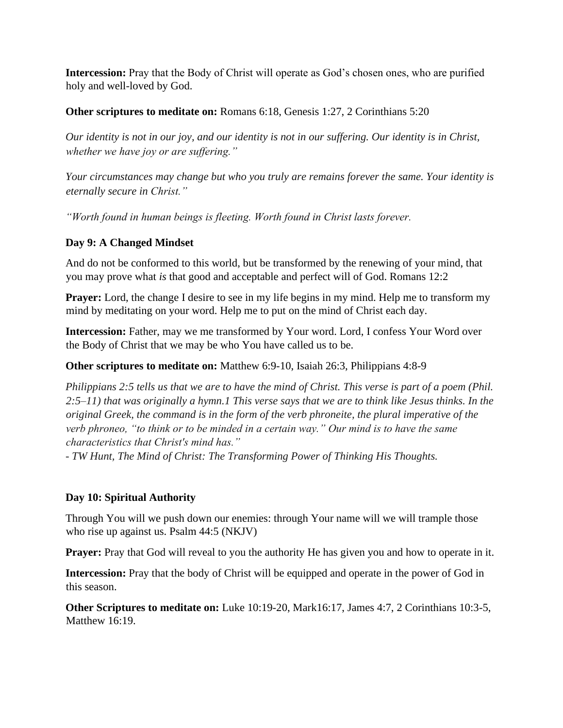**Intercession:** Pray that the Body of Christ will operate as God's chosen ones, who are purified holy and well-loved by God.

**Other scriptures to meditate on:** Romans 6:18, Genesis 1:27, 2 Corinthians 5:20

*Our identity is not in our joy, and our identity is not in our suffering. Our identity is in Christ, whether we have joy or are suffering."* 

*Your circumstances may change but who you truly are remains forever the same. Your identity is eternally secure in Christ."* 

*"Worth found in human beings is fleeting. Worth found in Christ lasts forever.* 

# **Day 9: A Changed Mindset**

And do not be conformed to this world, but be transformed by the renewing of your mind, that you may prove what *is* that good and acceptable and perfect will of God. Romans 12:2

**Prayer:** Lord, the change I desire to see in my life begins in my mind. Help me to transform my mind by meditating on your word. Help me to put on the mind of Christ each day.

**Intercession:** Father, may we me transformed by Your word. Lord, I confess Your Word over the Body of Christ that we may be who You have called us to be.

# **Other scriptures to meditate on:** Matthew 6:9-10, Isaiah 26:3, Philippians 4:8-9

*Philippians 2:5 tells us that we are to have the mind of Christ. This verse is part of a poem (Phil. 2:5–11) that was originally a hymn.1 This verse says that we are to think like Jesus thinks. In the original Greek, the command is in the form of the verb phroneite, the plural imperative of the verb phroneo, "to think or to be minded in a certain way." Our mind is to have the same characteristics that Christ's mind has."* 

*- TW Hunt, The Mind of Christ: The Transforming Power of Thinking His Thoughts.* 

# **Day 10: Spiritual Authority**

Through You will we push down our enemies: through Your name will we will trample those who rise up against us. Psalm 44:5 (NKJV)

**Prayer:** Pray that God will reveal to you the authority He has given you and how to operate in it.

**Intercession:** Pray that the body of Christ will be equipped and operate in the power of God in this season.

**Other Scriptures to meditate on:** Luke 10:19-20, Mark16:17, James 4:7, 2 Corinthians 10:3-5, Matthew 16:19.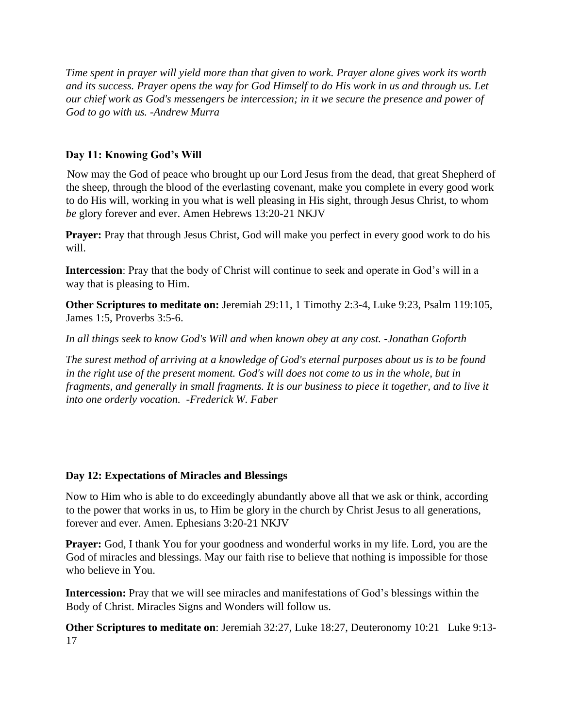*Time spent in prayer will yield more than that given to work. Prayer alone gives work its worth and its success. Prayer opens the way for God Himself to do His work in us and through us. Let our chief work as God's messengers be intercession; in it we secure the presence and power of God to go with us. -Andrew Murra* 

# **Day 11: Knowing God's Will**

Now may the God of peace who brought up our Lord Jesus from the dead, that great Shepherd of the sheep, through the blood of the everlasting covenant, make you complete in every good work to do His will, working in you what is well pleasing in His sight, through Jesus Christ, to whom *be* glory forever and ever. Amen Hebrews 13:20-21 NKJV

**Prayer:** Pray that through Jesus Christ, God will make you perfect in every good work to do his will.

**Intercession**: Pray that the body of Christ will continue to seek and operate in God's will in a way that is pleasing to Him.

**Other Scriptures to meditate on:** Jeremiah 29:11, 1 Timothy 2:3-4, Luke 9:23, Psalm 119:105, James 1:5, Proverbs 3:5-6.

*In all things seek to know God's Will and when known obey at any cost. -Jonathan Goforth* 

*The surest method of arriving at a knowledge of God's eternal purposes about us is to be found in the right use of the present moment. God's will does not come to us in the whole, but in fragments, and generally in small fragments. It is our business to piece it together, and to live it into one orderly vocation. -Frederick W. Faber* 

# **Day 12: Expectations of Miracles and Blessings**

Now to Him who is able to do exceedingly abundantly above all that we ask or think, according to the power that works in us, to Him be glory in the church by Christ Jesus to all generations, forever and ever. Amen. Ephesians 3:20-21 NKJV

**Prayer:** God, I thank You for your goodness and wonderful works in my life. Lord, you are the God of miracles and blessings. May our faith rise to believe that nothing is impossible for those who believe in You.

**Intercession:** Pray that we will see miracles and manifestations of God's blessings within the Body of Christ. Miracles Signs and Wonders will follow us.

**Other Scriptures to meditate on**: Jeremiah 32:27, Luke 18:27, Deuteronomy 10:21 Luke 9:13- 17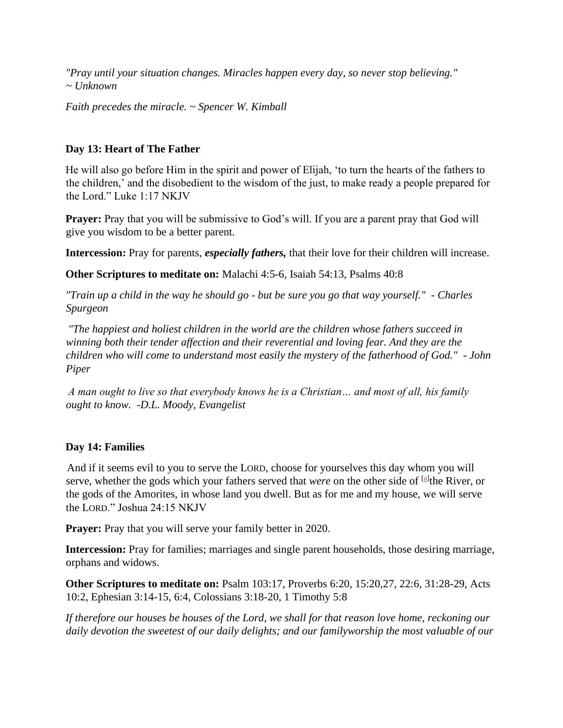*"Pray until your situation changes. Miracles happen every day, so never stop believing." ~ Unknown* 

*Faith precedes the miracle. ~ Spencer W. Kimball* 

# **Day 13: Heart of The Father**

He will also go before Him in the spirit and power of Elijah, 'to turn the hearts of the fathers to the children,' and the disobedient to the wisdom of the just, to make ready a people prepared for the Lord." Luke 1:17 NKJV

**Prayer:** Pray that you will be submissive to God's will. If you are a parent pray that God will give you wisdom to be a better parent.

**Intercession:** Pray for parents, *especially fathers,* that their love for their children will increase.

**Other Scriptures to meditate on:** Malachi 4:5-6, Isaiah 54:13, Psalms 40:8

*"Train up a child in the way he should go - but be sure you go that way yourself." - Charles Spurgeon* 

*"The happiest and holiest children in the world are the children whose fathers succeed in winning both their tender affection and their reverential and loving fear. And they are the children who will come to understand most easily the mystery of the fatherhood of God." - John Piper* 

*A man ought to live so that everybody knows he is a Christian… and most of all, his family ought to know. -D.L. Moody, Evangelist* 

# **Day 14: Families**

And if it seems evil to you to serve the LORD, choose for yourselves this day whom you will serve, whether the gods which your fathers served that *were* on the other side of <sup>[\[a\]](https://www.biblegateway.com/passage/?search=Joshua+24%3A15&version=NKJV#fen-NKJV-6492a)</sup> the River, or the gods of the Amorites, in whose land you dwell. But as for me and my house, we will serve the LORD." Joshua 24:15 NKJV

**Prayer:** Pray that you will serve your family better in 2020.

**Intercession:** Pray for families; marriages and single parent households, those desiring marriage, orphans and widows.

**Other Scriptures to meditate on:** Psalm 103:17, Proverbs 6:20, 15:20,27, 22:6, 31:28-29, Acts 10:2, Ephesian 3:14-15, 6:4, Colossians 3:18-20, 1 Timothy 5:8

*If therefore our houses be houses of the Lord, we shall for that reason love home, reckoning our daily devotion the sweetest of our daily delights; and our familyworship the most valuable of our*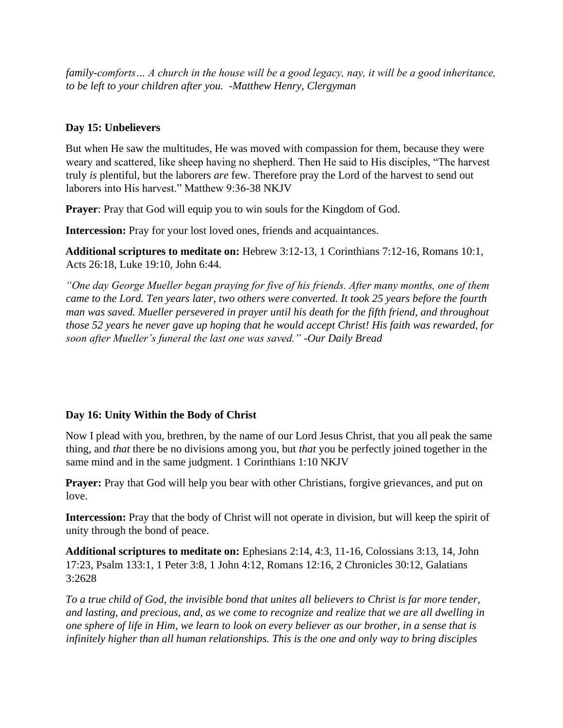*family-comforts… A church in the house will be a good legacy, nay, it will be a good inheritance, to be left to your children after you. -Matthew Henry, Clergyman* 

# **Day 15: Unbelievers**

But when He saw the multitudes, He was moved with compassion for them, because they were weary and scattered, like sheep having no shepherd. Then He said to His disciples, "The harvest truly *is* plentiful, but the laborers *are* few. Therefore pray the Lord of the harvest to send out laborers into His harvest." Matthew 9:36-38 NKJV

**Prayer:** Pray that God will equip you to win souls for the Kingdom of God.

**Intercession:** Pray for your lost loved ones, friends and acquaintances.

**Additional scriptures to meditate on:** Hebrew 3:12-13, 1 Corinthians 7:12-16, Romans 10:1, Acts 26:18, Luke 19:10, John 6:44.

*"One day George Mueller began praying for five of his friends. After many months, one of them came to the Lord. Ten years later, two others were converted. It took 25 years before the fourth man was saved. Mueller persevered in prayer until his death for the fifth friend, and throughout those 52 years he never gave up hoping that he would accept Christ! His faith was rewarded, for soon after Mueller's funeral the last one was saved." -Our Daily Bread* 

# **Day 16: Unity Within the Body of Christ**

Now I plead with you, brethren, by the name of our Lord Jesus Christ, that you all peak the same thing, and *that* there be no divisions among you, but *that* you be perfectly joined together in the same mind and in the same judgment. 1 Corinthians 1:10 NKJV

**Prayer:** Pray that God will help you bear with other Christians, forgive grievances, and put on love.

**Intercession:** Pray that the body of Christ will not operate in division, but will keep the spirit of unity through the bond of peace.

**Additional scriptures to meditate on:** Ephesians 2:14, 4:3, 11-16, Colossians 3:13, 14, John 17:23, Psalm 133:1, 1 Peter 3:8, 1 John 4:12, Romans 12:16, 2 Chronicles 30:12, Galatians 3:2628

*To a true child of God, the invisible bond that unites all believers to Christ is far more tender, and lasting, and precious, and, as we come to recognize and realize that we are all dwelling in one sphere of life in Him, we learn to look on every believer as our brother, in a sense that is infinitely higher than all human relationships. This is the one and only way to bring disciples*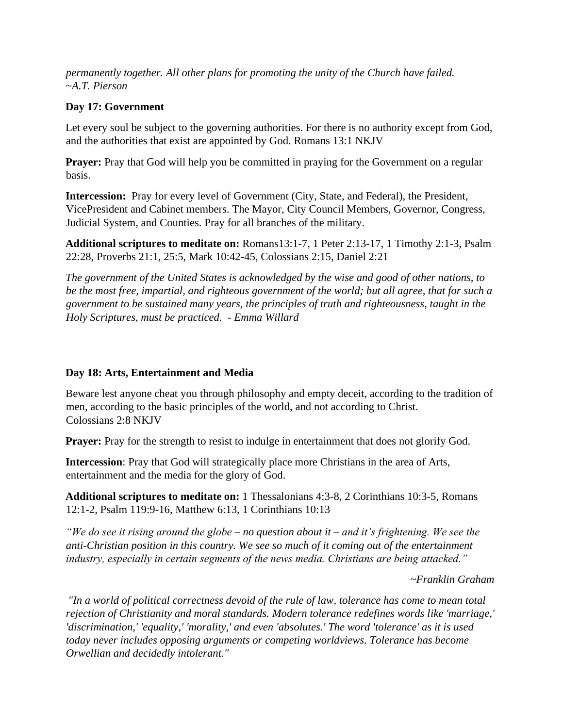*permanently together. All other plans for promoting the unity of the Church have failed.*  ~*A.T. Pierson* 

#### **Day 17: Government**

Let every soul be subject to the governing authorities. For there is no authority except from God, and the authorities that exist are appointed by God. Romans 13:1 NKJV

**Prayer:** Pray that God will help you be committed in praying for the Government on a regular basis.

**Intercession:** Pray for every level of Government (City, State, and Federal), the President, VicePresident and Cabinet members. The Mayor, City Council Members, Governor, Congress, Judicial System, and Counties. Pray for all branches of the military.

**Additional scriptures to meditate on:** Romans13:1-7, 1 Peter 2:13-17, 1 Timothy 2:1-3, Psalm 22:28, Proverbs 21:1, 25:5, Mark 10:42-45, Colossians 2:15, Daniel 2:21

*The government of the United States is acknowledged by the wise and good of other nations, to be the most free, impartial, and righteous government of the world; but all agree, that for such a government to be sustained many years, the principles of truth and righteousness, taught in the Holy Scriptures, must be practiced. - Emma Willard* 

# **Day 18: Arts, Entertainment and Media**

Beware lest anyone cheat you through philosophy and empty deceit, according to the tradition of men, according to the basic principles of the world, and not according to Christ. Colossians 2:8 NKJV

**Prayer:** Pray for the strength to resist to indulge in entertainment that does not glorify God.

**Intercession**: Pray that God will strategically place more Christians in the area of Arts, entertainment and the media for the glory of God.

**Additional scriptures to meditate on:** 1 Thessalonians 4:3-8, 2 Corinthians 10:3-5, Romans 12:1-2, Psalm 119:9-16, Matthew 6:13, 1 Corinthians 10:13

*"We do see it rising around the globe – no question about it – and it's frightening. We see the anti-Christian position in this country. We see so much of it coming out of the entertainment industry, especially in certain segments of the news media. Christians are being attacked."* 

 *~Franklin Graham* 

*"In a world of political correctness devoid of the rule of law, tolerance has come to mean total rejection of Christianity and moral standards. Modern tolerance redefines words like 'marriage,' 'discrimination,' 'equality,' 'morality,' and even 'absolutes.' The word 'tolerance' as it is used today never includes opposing arguments or competing worldviews. Tolerance has become Orwellian and decidedly intolerant."*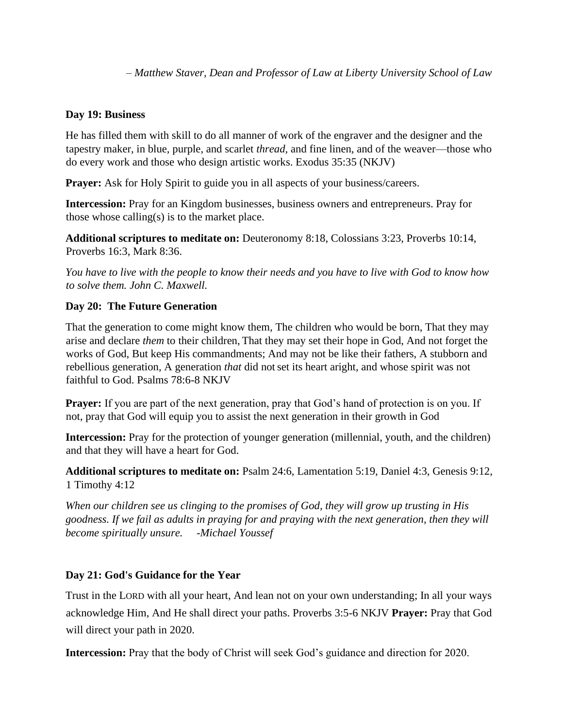*– Matthew Staver, Dean and Professor of Law at Liberty University School of Law* 

#### **Day 19: Business**

He has filled them with skill to do all manner of work of the engraver and the designer and the tapestry maker, in blue, purple, and scarlet *thread,* and fine linen, and of the weaver—those who do every work and those who design artistic works. Exodus 35:35 (NKJV)

**Prayer:** Ask for Holy Spirit to guide you in all aspects of your business/careers.

**Intercession:** Pray for an Kingdom businesses, business owners and entrepreneurs. Pray for those whose calling(s) is to the market place.

**Additional scriptures to meditate on:** Deuteronomy 8:18, Colossians 3:23, Proverbs 10:14, Proverbs 16:3, Mark 8:36.

*You have to live with the people to know their needs and you have to live with God to know how to solve them. John C. Maxwell.* 

# **Day 20: The Future Generation**

That the generation to come might know them*,* The children who would be born, That they may arise and declare *them* to their children, That they may set their hope in God, And not forget the works of God, But keep His commandments; And may not be like their fathers, A stubborn and rebellious generation, A generation *that* did not set its heart aright, and whose spirit was not faithful to God. Psalms 78:6-8 NKJV

**Prayer:** If you are part of the next generation, pray that God's hand of protection is on you. If not, pray that God will equip you to assist the next generation in their growth in God

**Intercession:** Pray for the protection of younger generation (millennial, youth, and the children) and that they will have a heart for God.

**Additional scriptures to meditate on:** Psalm 24:6, Lamentation 5:19, Daniel 4:3, Genesis 9:12, 1 Timothy 4:12

*When our children see us clinging to the promises of God, they will grow up trusting in His goodness. If we fail as adults in praying for and praying with the next generation, then they will become spiritually unsure. -Michael Youssef* 

# **Day 21: God's Guidance for the Year**

Trust in the LORD with all your heart, And lean not on your own understanding; In all your ways acknowledge Him, And He shall direct your paths. Proverbs 3:5-6 NKJV **Prayer:** Pray that God will direct your path in 2020.

**Intercession:** Pray that the body of Christ will seek God's guidance and direction for 2020.